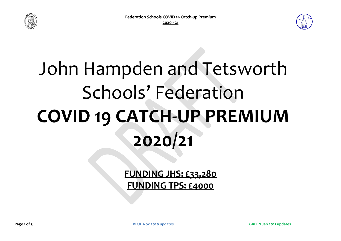



## John Hampden and Tetsworth Schools' Federation **COVID 19 CATCH-UP PREMIUM 2020/21**

**FUNDING JHS: £33,280 FUNDING TPS: £4000**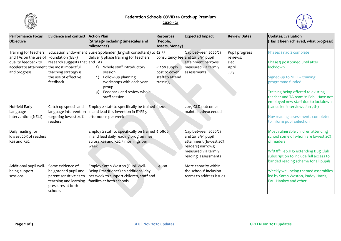

## **Federation Schools COVID 19 Catch-up Premium**

## **2020 - 21**



| <b>Performance Focus</b><br>Objective                                                                                                              | <b>Evidence and context</b>                                                                                                  | <b>Action Plan</b><br>(Strategy including timescales and<br>milestones)                                                                                                                                                                                                           | <b>Resources</b><br>(People,<br>Assets, Money)               | <b>Expected Impact</b>                                                                                                                | <b>Review Dates</b>                                | Updates/Evaluation<br>(Has it been achieved, what progress)                                                                                                                                                                |
|----------------------------------------------------------------------------------------------------------------------------------------------------|------------------------------------------------------------------------------------------------------------------------------|-----------------------------------------------------------------------------------------------------------------------------------------------------------------------------------------------------------------------------------------------------------------------------------|--------------------------------------------------------------|---------------------------------------------------------------------------------------------------------------------------------------|----------------------------------------------------|----------------------------------------------------------------------------------------------------------------------------------------------------------------------------------------------------------------------------|
| Training for teachers<br>and TAs on the use of Foundation (EEF)<br>quality feedback to<br>accelerate attainment the most impactful<br>and progress | research suggests that and TAs<br>teaching strategy is<br>the use of effective<br>feedback                                   | Education Endowment Susie Spolander (English consultant) to $\pm$ 2135<br>deliver 3 phase training for teachers<br>Whole staff introductory<br>1)<br>session<br>Follow-up planning<br>2)<br>workshops with each year<br>group<br>Feedback and review whole<br>3)<br>staff session | £1200 supply<br>cost to cover<br>staff to attend<br>training | Gap between 2020/21<br>consultancy fee and 2018/19 pupil<br>attainment narrows;<br>measured via termly<br>lassessments                | Pupil progress<br>reviews:<br>Dec<br>April<br>July | Phases 1 nad 2 complete<br>Phase 3 postponed until after<br>lockdown<br>Signed-up to NELI - training<br>programme funded<br>Training being offered to existing<br>teacher and TA team in Feb. Have not                     |
| Nuffield Early<br>Language<br>Intervention (NELI)                                                                                                  | Catch-up speech and<br>language intervention<br>targeting lowest 20%<br>readers                                              | Employ 2 staff to specifically be trained £7200<br>in and lead this invention in EYFS 5<br>afternoons per week                                                                                                                                                                    |                                                              | 2019 GLD outcomes<br>maintained/exceeded                                                                                              |                                                    | employed new staff due to lockdown<br>(cancelled interviews Jan 7th)<br>Nov reading assessments completed<br>to inform pupil selection                                                                                     |
| Daily reading for<br>lowest 20% of readers<br>KS1 and KS2                                                                                          |                                                                                                                              | Employ 2 staff to specifically be trained $\pm$ 10800<br>in and lead daily reading programmes<br>across KS1 and KS2 5 mornings per<br>week                                                                                                                                        |                                                              | Gap between 2020/21<br>and 2018/19 pupil<br>attainment (lowest 20%<br>readers) narrows;<br>measured via termly<br>reading assessments |                                                    | Most vulnerable children attending<br>school some of whom are lowest 20%<br>of readers<br>W/B 8 <sup>th</sup> Feb JHS extending Bug Club<br>subscription to include full access to<br>banded reading scheme for all pupils |
| Additional pupil well-<br>being support<br><b>sessions</b>                                                                                         | Some evidence of<br>heightened pupil and<br>parent sensitivities to<br>teaching and learning<br>pressures at both<br>schools | Employ Sarah Weston (Pupil Well-<br>Being Practitioner) an additional day<br>per week to support children, staff and<br>families at both schools                                                                                                                                  | £4000                                                        | More capacity within<br>the schools' inclusion<br>teams to address issues                                                             |                                                    | Weekly well-being themed assemblies<br>led by Sarah Weston, Paddy Harris,<br>Paul Hankey and other                                                                                                                         |